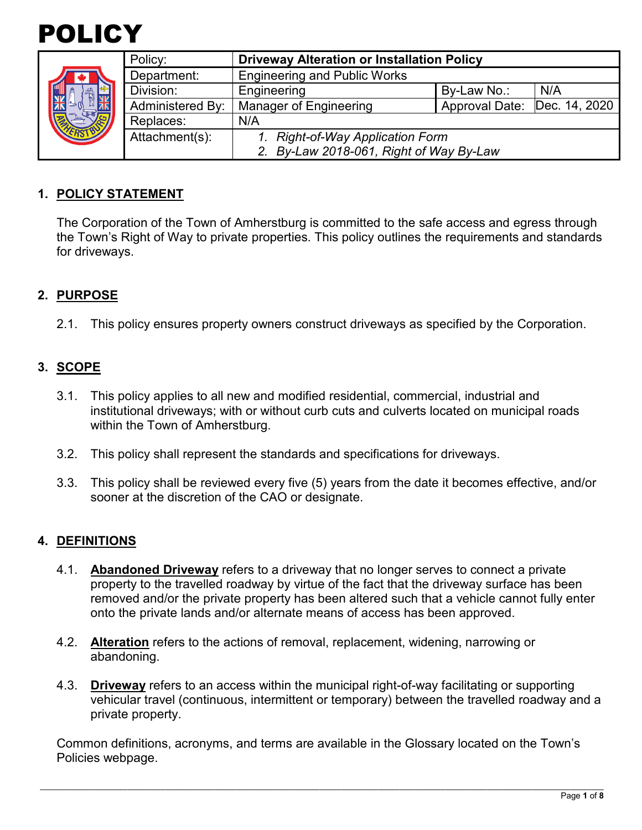

|    | Policy:          | <b>Driveway Alteration or Installation Policy</b> |                       |               |
|----|------------------|---------------------------------------------------|-----------------------|---------------|
| 微器 | Department:      | <b>Engineering and Public Works</b>               |                       |               |
|    | Division:        | Engineering                                       | By-Law No.:           | N/A           |
|    | Administered By: | Manager of Engineering                            | <b>Approval Date:</b> | Dec. 14, 2020 |
|    | Replaces:        | N/A                                               |                       |               |
|    | Attachment(s):   | <b>Right-of-Way Application Form</b>              |                       |               |
|    |                  | 2. By-Law 2018-061, Right of Way By-Law           |                       |               |

## **1. POLICY STATEMENT**

The Corporation of the Town of Amherstburg is committed to the safe access and egress through the Town's Right of Way to private properties. This policy outlines the requirements and standards for driveways.

## **2. PURPOSE**

2.1. This policy ensures property owners construct driveways as specified by the Corporation.

## **3. SCOPE**

- 3.1. This policy applies to all new and modified residential, commercial, industrial and institutional driveways; with or without curb cuts and culverts located on municipal roads within the Town of Amherstburg.
- 3.2. This policy shall represent the standards and specifications for driveways.
- 3.3. This policy shall be reviewed every five (5) years from the date it becomes effective, and/or sooner at the discretion of the CAO or designate.

#### **4. DEFINITIONS**

- 4.1. **Abandoned Driveway** refers to a driveway that no longer serves to connect a private property to the travelled roadway by virtue of the fact that the driveway surface has been removed and/or the private property has been altered such that a vehicle cannot fully enter onto the private lands and/or alternate means of access has been approved.
- 4.2. **Alteration** refers to the actions of removal, replacement, widening, narrowing or abandoning.
- 4.3. **Driveway** refers to an access within the municipal right-of-way facilitating or supporting vehicular travel (continuous, intermittent or temporary) between the travelled roadway and a private property.

Common definitions, acronyms, and terms are available in the Glossary located on the Town's Policies webpage.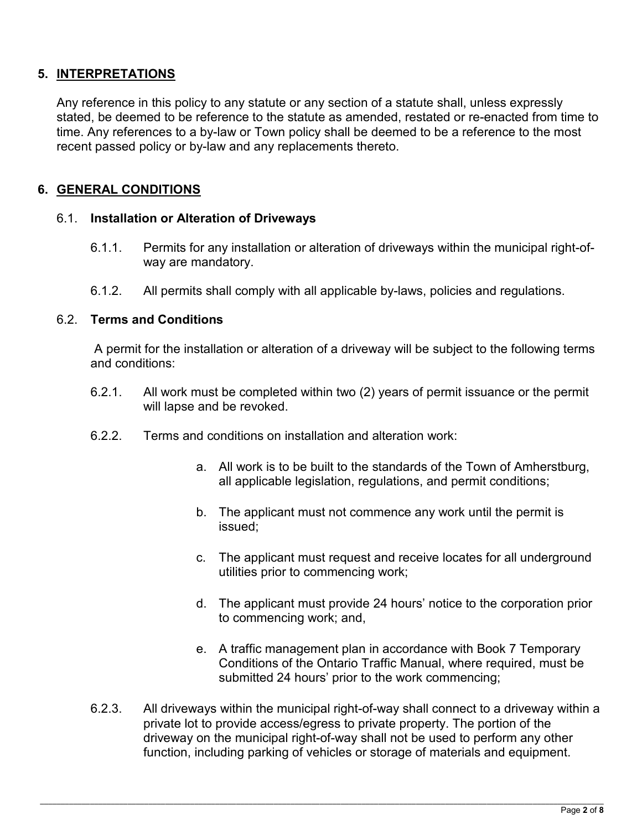# **5. INTERPRETATIONS**

Any reference in this policy to any statute or any section of a statute shall, unless expressly stated, be deemed to be reference to the statute as amended, restated or re-enacted from time to time. Any references to a by-law or Town policy shall be deemed to be a reference to the most recent passed policy or by-law and any replacements thereto.

# **6. GENERAL CONDITIONS**

#### 6.1. **Installation or Alteration of Driveways**

- 6.1.1. Permits for any installation or alteration of driveways within the municipal right-ofway are mandatory.
- 6.1.2. All permits shall comply with all applicable by-laws, policies and regulations.

## 6.2. **Terms and Conditions**

A permit for the installation or alteration of a driveway will be subject to the following terms and conditions:

- 6.2.1. All work must be completed within two (2) years of permit issuance or the permit will lapse and be revoked.
- 6.2.2. Terms and conditions on installation and alteration work:
	- a. All work is to be built to the standards of the Town of Amherstburg, all applicable legislation, regulations, and permit conditions;
	- b. The applicant must not commence any work until the permit is issued;
	- c. The applicant must request and receive locates for all underground utilities prior to commencing work;
	- d. The applicant must provide 24 hours' notice to the corporation prior to commencing work; and,
	- e. A traffic management plan in accordance with Book 7 Temporary Conditions of the Ontario Traffic Manual, where required, must be submitted 24 hours' prior to the work commencing;
- 6.2.3. All driveways within the municipal right-of-way shall connect to a driveway within a private lot to provide access/egress to private property. The portion of the driveway on the municipal right-of-way shall not be used to perform any other function, including parking of vehicles or storage of materials and equipment.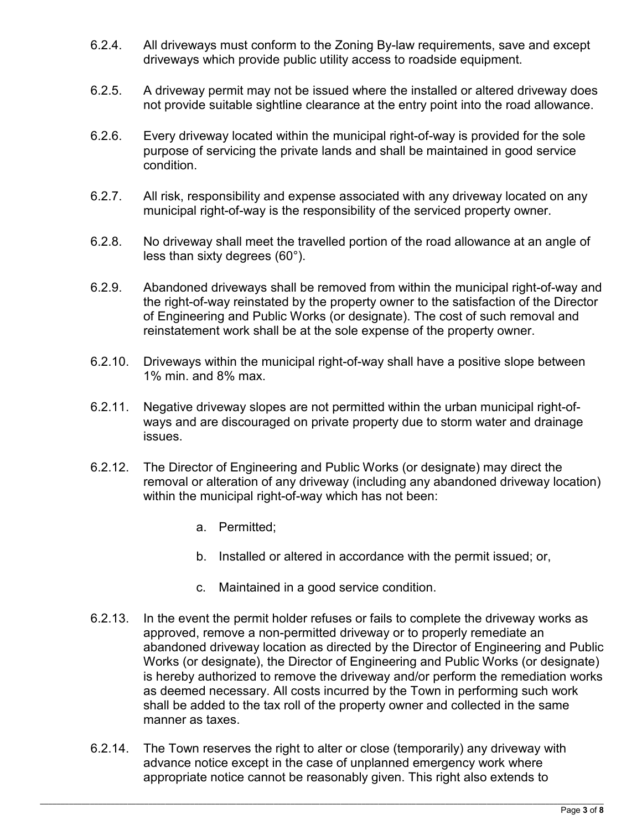- 6.2.4. All driveways must conform to the Zoning By-law requirements, save and except driveways which provide public utility access to roadside equipment.
- 6.2.5. A driveway permit may not be issued where the installed or altered driveway does not provide suitable sightline clearance at the entry point into the road allowance.
- 6.2.6. Every driveway located within the municipal right-of-way is provided for the sole purpose of servicing the private lands and shall be maintained in good service condition.
- 6.2.7. All risk, responsibility and expense associated with any driveway located on any municipal right-of-way is the responsibility of the serviced property owner.
- 6.2.8. No driveway shall meet the travelled portion of the road allowance at an angle of less than sixty degrees (60°).
- 6.2.9. Abandoned driveways shall be removed from within the municipal right-of-way and the right-of-way reinstated by the property owner to the satisfaction of the Director of Engineering and Public Works (or designate). The cost of such removal and reinstatement work shall be at the sole expense of the property owner.
- 6.2.10. Driveways within the municipal right-of-way shall have a positive slope between 1% min. and 8% max.
- 6.2.11. Negative driveway slopes are not permitted within the urban municipal right-ofways and are discouraged on private property due to storm water and drainage issues.
- 6.2.12. The Director of Engineering and Public Works (or designate) may direct the removal or alteration of any driveway (including any abandoned driveway location) within the municipal right-of-way which has not been:
	- a. Permitted;
	- b. Installed or altered in accordance with the permit issued; or,
	- c. Maintained in a good service condition.
- 6.2.13. In the event the permit holder refuses or fails to complete the driveway works as approved, remove a non-permitted driveway or to properly remediate an abandoned driveway location as directed by the Director of Engineering and Public Works (or designate), the Director of Engineering and Public Works (or designate) is hereby authorized to remove the driveway and/or perform the remediation works as deemed necessary. All costs incurred by the Town in performing such work shall be added to the tax roll of the property owner and collected in the same manner as taxes.
- 6.2.14. The Town reserves the right to alter or close (temporarily) any driveway with advance notice except in the case of unplanned emergency work where appropriate notice cannot be reasonably given. This right also extends to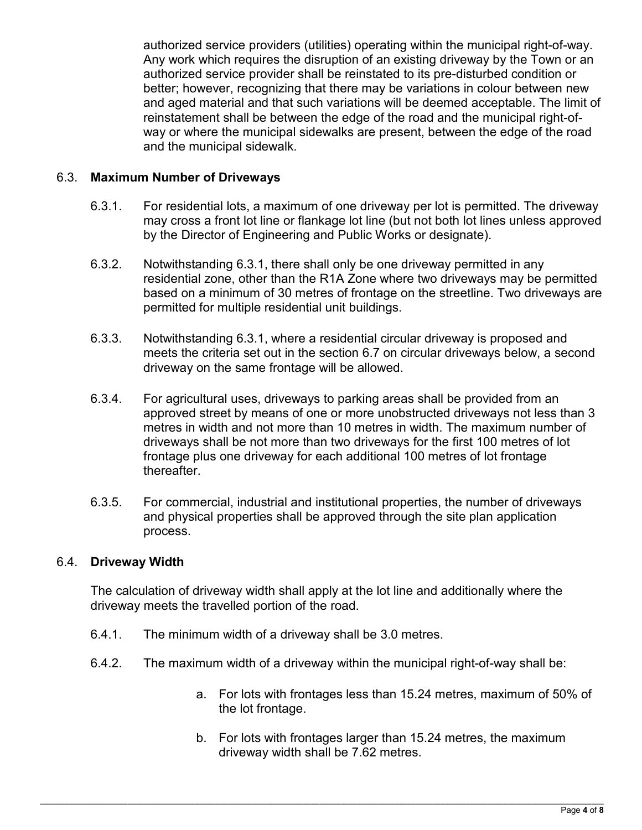authorized service providers (utilities) operating within the municipal right-of-way. Any work which requires the disruption of an existing driveway by the Town or an authorized service provider shall be reinstated to its pre-disturbed condition or better; however, recognizing that there may be variations in colour between new and aged material and that such variations will be deemed acceptable. The limit of reinstatement shall be between the edge of the road and the municipal right-ofway or where the municipal sidewalks are present, between the edge of the road and the municipal sidewalk.

#### 6.3. **Maximum Number of Driveways**

- 6.3.1. For residential lots, a maximum of one driveway per lot is permitted. The driveway may cross a front lot line or flankage lot line (but not both lot lines unless approved by the Director of Engineering and Public Works or designate).
- 6.3.2. Notwithstanding 6.3.1, there shall only be one driveway permitted in any residential zone, other than the R1A Zone where two driveways may be permitted based on a minimum of 30 metres of frontage on the streetline. Two driveways are permitted for multiple residential unit buildings.
- 6.3.3. Notwithstanding 6.3.1, where a residential circular driveway is proposed and meets the criteria set out in the section 6.7 on circular driveways below, a second driveway on the same frontage will be allowed.
- 6.3.4. For agricultural uses, driveways to parking areas shall be provided from an approved street by means of one or more unobstructed driveways not less than 3 metres in width and not more than 10 metres in width. The maximum number of driveways shall be not more than two driveways for the first 100 metres of lot frontage plus one driveway for each additional 100 metres of lot frontage thereafter.
- 6.3.5. For commercial, industrial and institutional properties, the number of driveways and physical properties shall be approved through the site plan application process.

#### 6.4. **Driveway Width**

The calculation of driveway width shall apply at the lot line and additionally where the driveway meets the travelled portion of the road.

- 6.4.1. The minimum width of a driveway shall be 3.0 metres.
- 6.4.2. The maximum width of a driveway within the municipal right-of-way shall be:
	- a. For lots with frontages less than 15.24 metres, maximum of 50% of the lot frontage.
	- b. For lots with frontages larger than 15.24 metres, the maximum driveway width shall be 7.62 metres.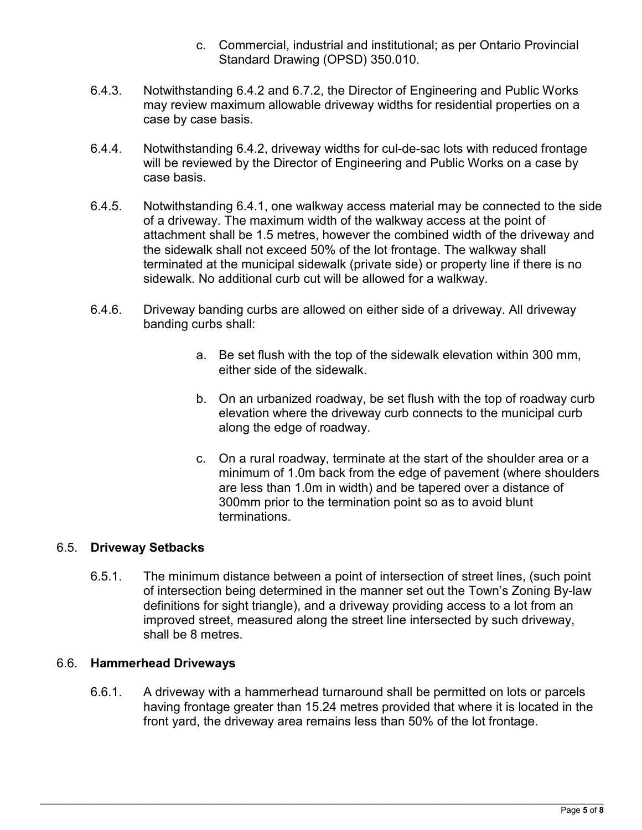- c. Commercial, industrial and institutional; as per Ontario Provincial Standard Drawing (OPSD) 350.010.
- 6.4.3. Notwithstanding 6.4.2 and 6.7.2, the Director of Engineering and Public Works may review maximum allowable driveway widths for residential properties on a case by case basis.
- 6.4.4. Notwithstanding 6.4.2, driveway widths for cul-de-sac lots with reduced frontage will be reviewed by the Director of Engineering and Public Works on a case by case basis.
- 6.4.5. Notwithstanding 6.4.1, one walkway access material may be connected to the side of a driveway. The maximum width of the walkway access at the point of attachment shall be 1.5 metres, however the combined width of the driveway and the sidewalk shall not exceed 50% of the lot frontage. The walkway shall terminated at the municipal sidewalk (private side) or property line if there is no sidewalk. No additional curb cut will be allowed for a walkway.
- 6.4.6. Driveway banding curbs are allowed on either side of a driveway. All driveway banding curbs shall:
	- a. Be set flush with the top of the sidewalk elevation within 300 mm, either side of the sidewalk.
	- b. On an urbanized roadway, be set flush with the top of roadway curb elevation where the driveway curb connects to the municipal curb along the edge of roadway.
	- c. On a rural roadway, terminate at the start of the shoulder area or a minimum of 1.0m back from the edge of pavement (where shoulders are less than 1.0m in width) and be tapered over a distance of 300mm prior to the termination point so as to avoid blunt terminations.

#### 6.5. **Driveway Setbacks**

6.5.1. The minimum distance between a point of intersection of street lines, (such point of intersection being determined in the manner set out the Town's Zoning By-law definitions for sight triangle), and a driveway providing access to a lot from an improved street, measured along the street line intersected by such driveway, shall be 8 metres.

#### 6.6. **Hammerhead Driveways**

6.6.1. A driveway with a hammerhead turnaround shall be permitted on lots or parcels having frontage greater than 15.24 metres provided that where it is located in the front yard, the driveway area remains less than 50% of the lot frontage.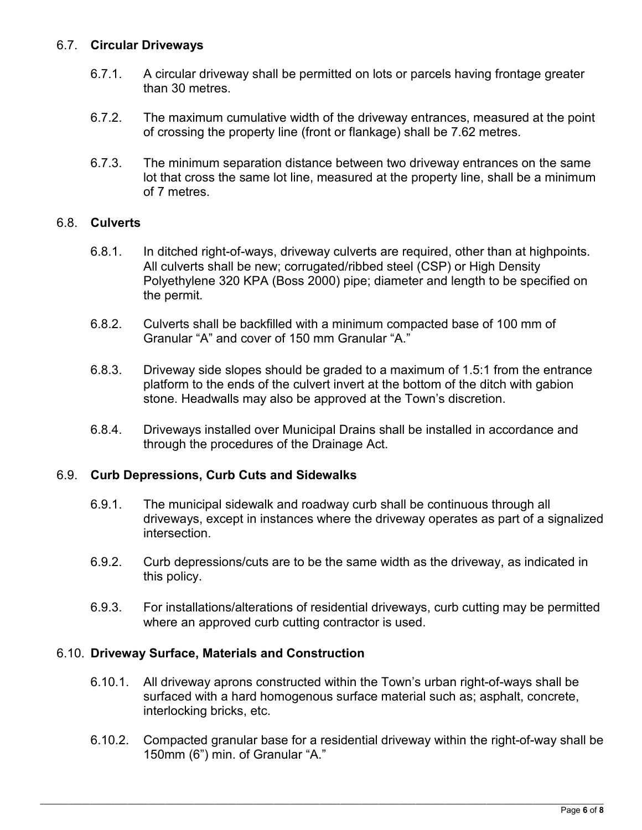## 6.7. **Circular Driveways**

- 6.7.1. A circular driveway shall be permitted on lots or parcels having frontage greater than 30 metres.
- 6.7.2. The maximum cumulative width of the driveway entrances, measured at the point of crossing the property line (front or flankage) shall be 7.62 metres.
- 6.7.3. The minimum separation distance between two driveway entrances on the same lot that cross the same lot line, measured at the property line, shall be a minimum of 7 metres.

## 6.8. **Culverts**

- 6.8.1. In ditched right-of-ways, driveway culverts are required, other than at highpoints. All culverts shall be new; corrugated/ribbed steel (CSP) or High Density Polyethylene 320 KPA (Boss 2000) pipe; diameter and length to be specified on the permit.
- 6.8.2. Culverts shall be backfilled with a minimum compacted base of 100 mm of Granular "A" and cover of 150 mm Granular "A."
- 6.8.3. Driveway side slopes should be graded to a maximum of 1.5:1 from the entrance platform to the ends of the culvert invert at the bottom of the ditch with gabion stone. Headwalls may also be approved at the Town's discretion.
- 6.8.4. Driveways installed over Municipal Drains shall be installed in accordance and through the procedures of the Drainage Act.

## 6.9. **Curb Depressions, Curb Cuts and Sidewalks**

- 6.9.1. The municipal sidewalk and roadway curb shall be continuous through all driveways, except in instances where the driveway operates as part of a signalized intersection.
- 6.9.2. Curb depressions/cuts are to be the same width as the driveway, as indicated in this policy.
- 6.9.3. For installations/alterations of residential driveways, curb cutting may be permitted where an approved curb cutting contractor is used.

## 6.10. **Driveway Surface, Materials and Construction**

- 6.10.1. All driveway aprons constructed within the Town's urban right-of-ways shall be surfaced with a hard homogenous surface material such as; asphalt, concrete, interlocking bricks, etc.
- 6.10.2. Compacted granular base for a residential driveway within the right-of-way shall be 150mm (6") min. of Granular "A."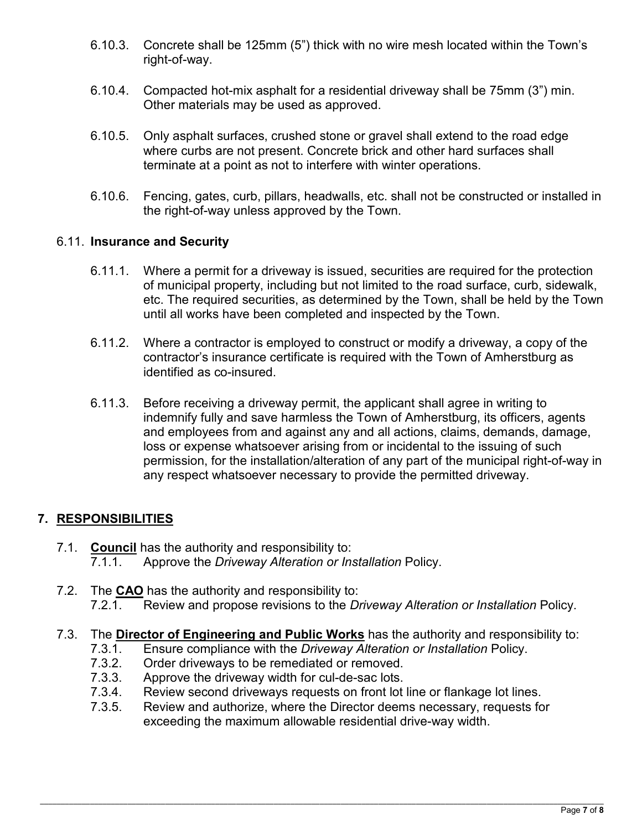- 6.10.3. Concrete shall be 125mm (5") thick with no wire mesh located within the Town's right-of-way.
- 6.10.4. Compacted hot-mix asphalt for a residential driveway shall be 75mm (3") min. Other materials may be used as approved.
- 6.10.5. Only asphalt surfaces, crushed stone or gravel shall extend to the road edge where curbs are not present. Concrete brick and other hard surfaces shall terminate at a point as not to interfere with winter operations.
- 6.10.6. Fencing, gates, curb, pillars, headwalls, etc. shall not be constructed or installed in the right-of-way unless approved by the Town.

## 6.11. **Insurance and Security**

- 6.11.1. Where a permit for a driveway is issued, securities are required for the protection of municipal property, including but not limited to the road surface, curb, sidewalk, etc. The required securities, as determined by the Town, shall be held by the Town until all works have been completed and inspected by the Town.
- 6.11.2. Where a contractor is employed to construct or modify a driveway, a copy of the contractor's insurance certificate is required with the Town of Amherstburg as identified as co-insured.
- 6.11.3. Before receiving a driveway permit, the applicant shall agree in writing to indemnify fully and save harmless the Town of Amherstburg, its officers, agents and employees from and against any and all actions, claims, demands, damage, loss or expense whatsoever arising from or incidental to the issuing of such permission, for the installation/alteration of any part of the municipal right-of-way in any respect whatsoever necessary to provide the permitted driveway.

## **7. RESPONSIBILITIES**

- 7.1. **Council** has the authority and responsibility to: 7.1.1. Approve the *Driveway Alteration or Installation* Policy.
- 7.2. The **CAO** has the authority and responsibility to: 7.2.1. Review and propose revisions to the *Driveway Alteration or Installation* Policy.
- 7.3. The **Director of Engineering and Public Works** has the authority and responsibility to:
	- 7.3.1. Ensure compliance with the *Driveway Alteration or Installation* Policy.
		- 7.3.2. Order driveways to be remediated or removed.<br>7.3.3. Approve the driveway width for cul-de-sac lots.
		- 7.3.3. Approve the driveway width for cul-de-sac lots.
		- Review second driveways requests on front lot line or flankage lot lines.
		- 7.3.5. Review and authorize, where the Director deems necessary, requests for exceeding the maximum allowable residential drive-way width.